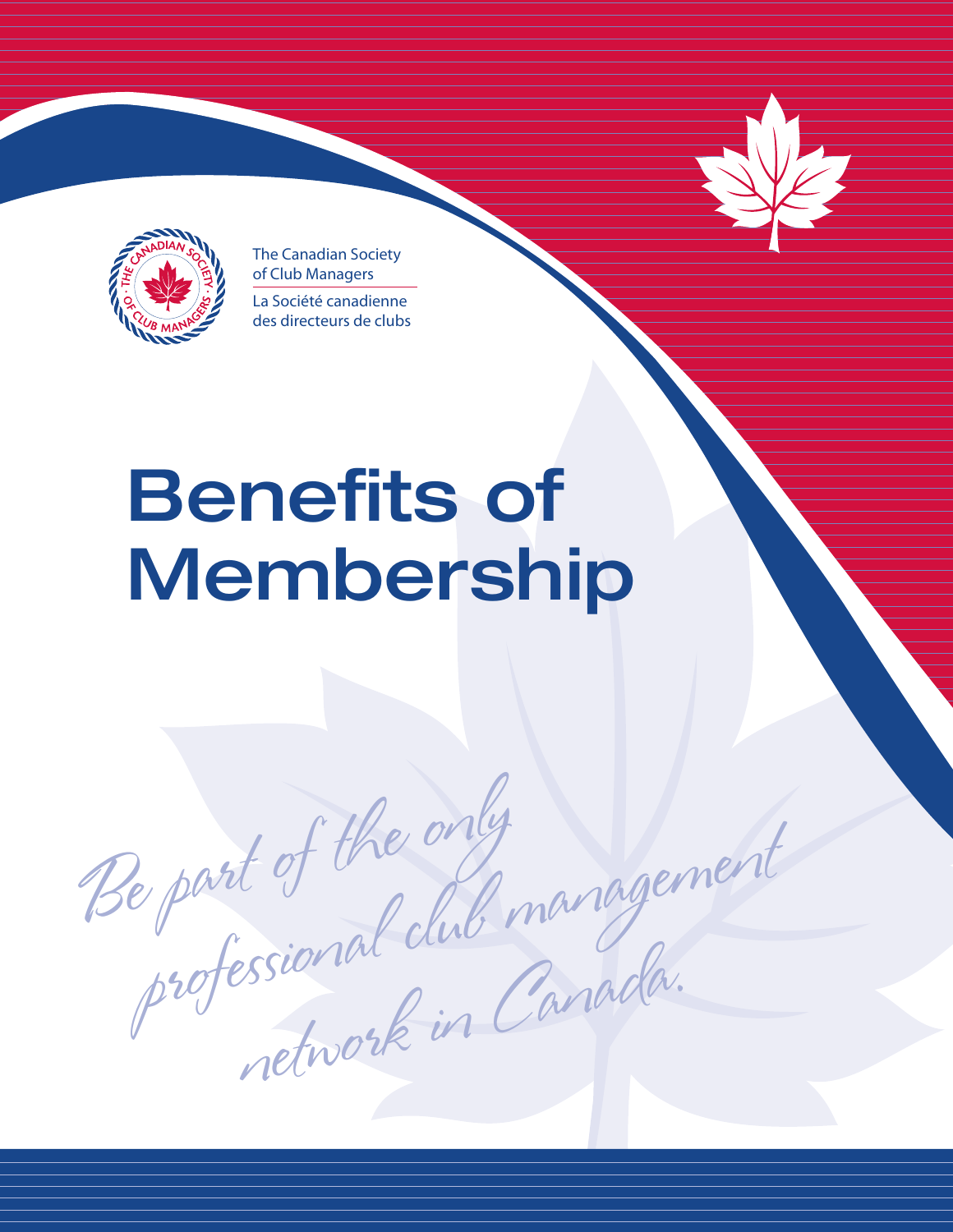

The Canadian Society of Club Managers La Société canadienne des directeurs de clubs

# **Benefits of Membership**

Be part of the only Re part of the only<br>professional club management essional de Canada.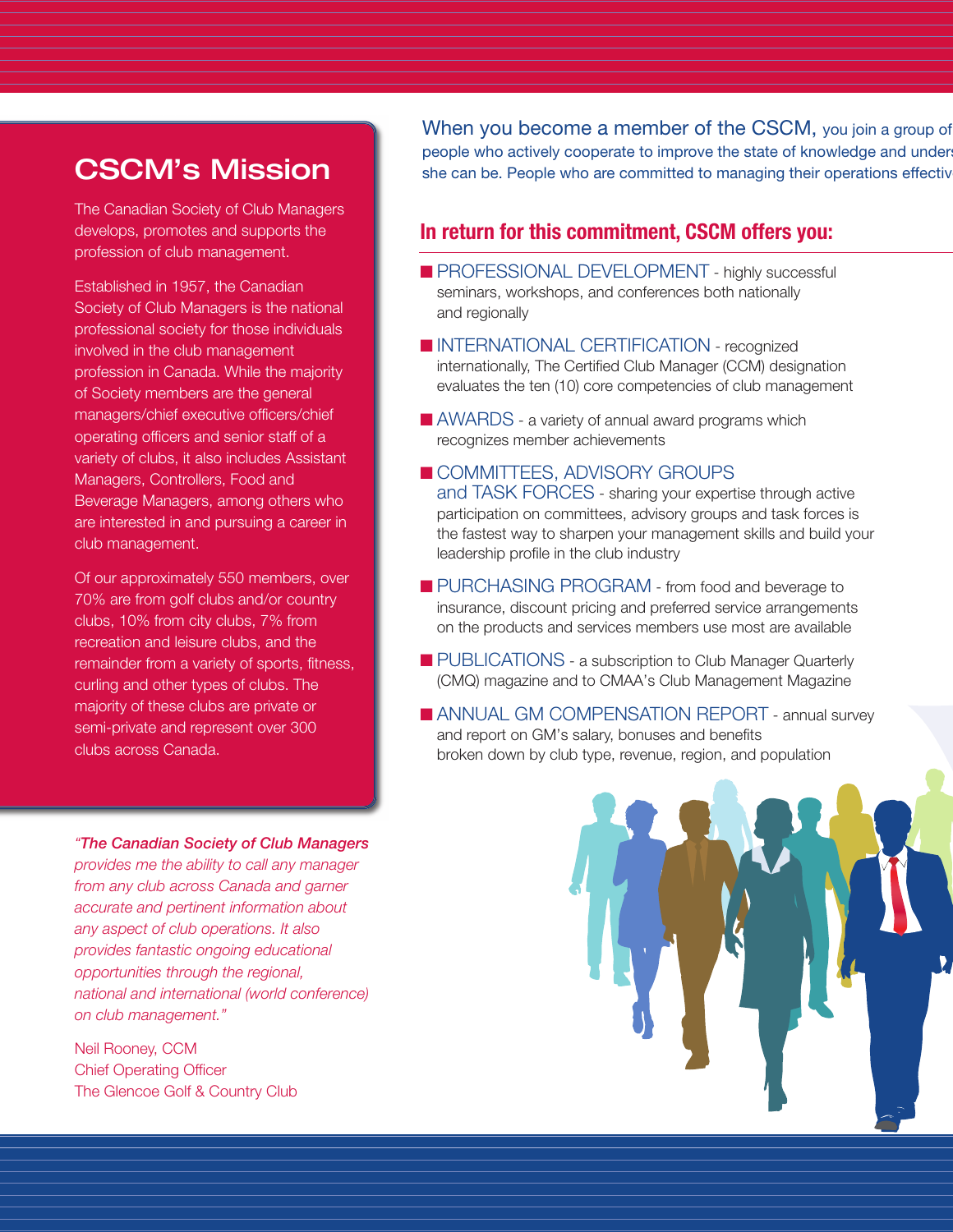# **CSCM's Mission**

The Canadian Society of Club Managers develops, promotes and supports the profession of club management.

Established in 1957, the Canadian Society of Club Managers is the national professional society for those individuals involved in the club management profession in Canada. While the majority of Society members are the general managers/chief executive officers/chief operating officers and senior staff of a variety of clubs, it also includes Assistant Managers, Controllers, Food and Beverage Managers, among others who are interested in and pursuing a career in club management.

Of our approximately 550 members, over 70% are from golf clubs and/or country clubs, 10% from city clubs, 7% from recreation and leisure clubs, and the remainder from a variety of sports, fitness, curling and other types of clubs. The majority of these clubs are private or semi-private and represent over 300 clubs across Canada.

*"The Canadian Society of Club Managers*

*provides me the ability to call any manager from any club across Canada and garner accurate and pertinent information about any aspect of club operations. It also provides fantastic ongoing educational opportunities through the regional, national and international (world conference) on club management."*

Neil Rooney, CCM Chief Operating Officer The Glencoe Golf & Country Club When you become a member of the CSCM, you join a group of people who actively cooperate to improve the state of knowledge and under she can be. People who are committed to managing their operations effectively

### **In return for this commitment, CSCM offers you:**

- PROFESSIONAL DEVELOPMENT highly successful seminars, workshops, and conferences both nationally and regionally
- **■** INTERNATIONAL CERTIFICATION recognized internationally, The Certified Club Manager (CCM) designation evaluates the ten (10) core competencies of club management
- AWARDS a variety of annual award programs which recognizes member achievements
- COMMITTEES, ADVISORY GROUPS and TASK FORCES - sharing your expertise through active participation on committees, advisory groups and task forces is the fastest way to sharpen your management skills and build your leadership profile in the club industry
- PURCHASING PROGRAM from food and beverage to insurance, discount pricing and preferred service arrangements on the products and services members use most are available
- PUBLICATIONS a subscription to Club Manager Quarterly (CMQ) magazine and to CMAA's Club Management Magazine
- ANNUAL GM COMPENSATION REPORT annual survey and report on GM's salary, bonuses and benefits broken down by club type, revenue, region, and population

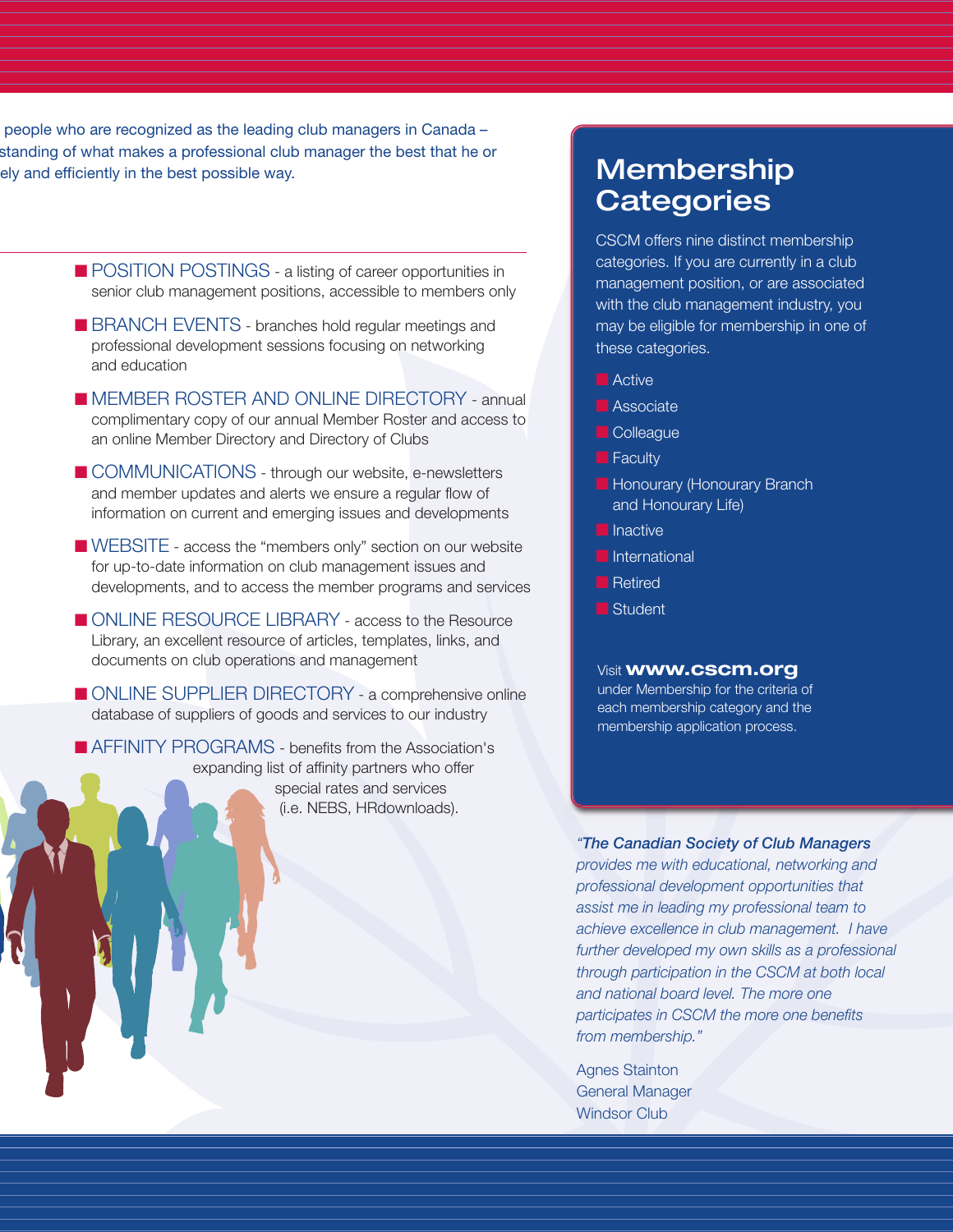people who are recognized as the leading club managers in Canada – standing of what makes a professional club manager the best that he or ely and efficiently in the best possible way.

- POSITION POSTINGS a listing of career opportunities in senior club management positions, accessible to members only
- BRANCH EVENTS branches hold regular meetings and professional development sessions focusing on networking and education
- MEMBER ROSTER AND ONLINE DIRECTORY annual complimentary copy of our annual Member Roster and access to an online Member Directory and Directory of Clubs
- COMMUNICATIONS through our website, e-newsletters and member updates and alerts we ensure a regular flow of information on current and emerging issues and developments
- WEBSITE access the "members only" section on our website for up-to-date information on club management issues and developments, and to access the member programs and services
- ONLINE RESOURCE LIBRARY access to the Resource Library, an excellent resource of articles, templates, links, and documents on club operations and management
- **■** ONLINE SUPPLIER DIRECTORY a comprehensive online database of suppliers of goods and services to our industry

■ AFFINITY PROGRAMS - benefits from the Association's expanding list of affinity partners who offer special rates and services (i.e. NEBS, HRdownloads).

## **Membership Categories**

CSCM offers nine distinct membership categories. If you are currently in a club management position, or are associated with the club management industry, you may be eligible for membership in one of these categories.

- Active
- **■** Associate
- **■** Colleague
- Faculty
- Honourary (Honourary Branch and Honourary Life)
- Inactive
- **■** International
- **■** Retired
- ■**B** Student

#### Visit **www.cscm.org**

under Membership for the criteria of each membership category and the membership application process.

*"The Canadian Society of Club Managers*

*provides me with educational, networking and professional development opportunities that assist me in leading my professional team to achieve excellence in club management. I have further developed my own skills as a professional through participation in the CSCM at both local and national board level. The more one participates in CSCM the more one benefits from membership."*

Agnes Stainton General Manager Windsor Club